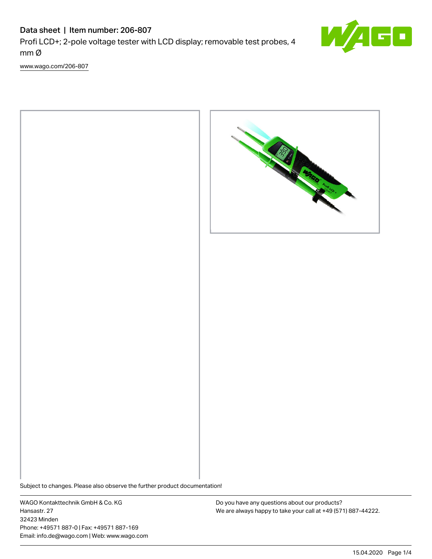# Data sheet | Item number: 206-807 Profi LCD+; 2-pole voltage tester with LCD display; removable test probes, 4 mm Ø

[www.wago.com/206-807](http://www.wago.com/206-807)





Subject to changes. Please also observe the further product documentation!

WAGO Kontakttechnik GmbH & Co. KG Hansastr. 27 32423 Minden Phone: +49571 887-0 | Fax: +49571 887-169 Email: info.de@wago.com | Web: www.wago.com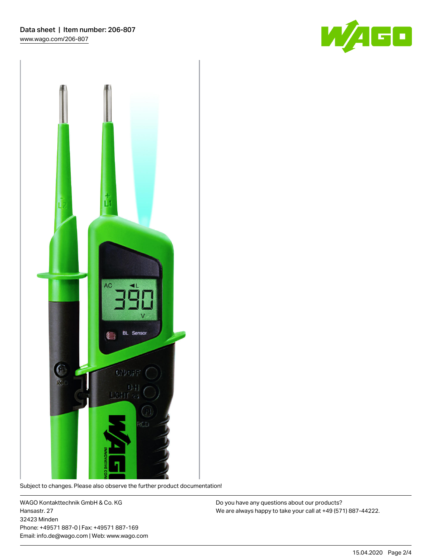



Subject to changes. Please also observe the further product documentation!

WAGO Kontakttechnik GmbH & Co. KG Hansastr. 27 32423 Minden Phone: +49571 887-0 | Fax: +49571 887-169 Email: info.de@wago.com | Web: www.wago.com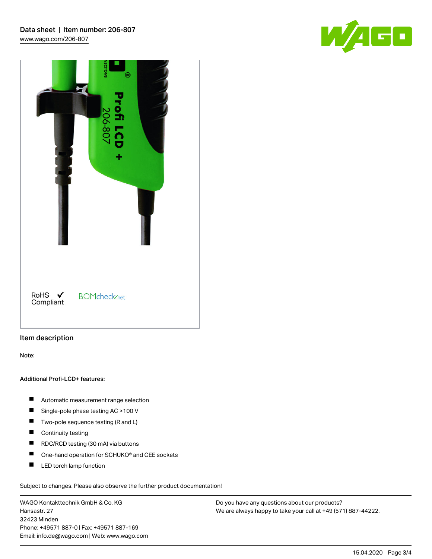

|                     | <b>ECTIONS</b><br>۳<br><b>Profi LCD</b><br>206-807<br>÷ |
|---------------------|---------------------------------------------------------|
| RoHS ✔<br>Compliant | <b>BOMcheck</b> <sub>net</sub>                          |

## Item description

Note:

#### Additional Profi-LCD+ features:

- $\blacksquare$ Automatic measurement range selection
- $\blacksquare$ Single-pole phase testing AC >100 V
- $\blacksquare$ Two-pole sequence testing (R and L)
- $\blacksquare$ Continuity testing
- $\blacksquare$ RDC/RCD testing (30 mA) via buttons
- $\blacksquare$ One-hand operation for SCHUKO® and CEE sockets
- $\blacksquare$ LED torch lamp function

Subject to changes. Please also observe the further product documentation!

WAGO Kontakttechnik GmbH & Co. KG Hansastr. 27 32423 Minden Phone: +49571 887-0 | Fax: +49571 887-169 Email: info.de@wago.com | Web: www.wago.com